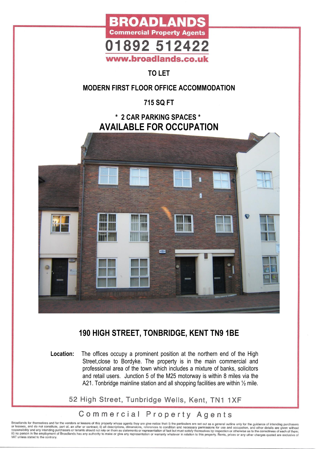

### **TO LET**

#### **MODERN FIRST FLOOR OFFICE ACCOMMODATION**

**715 SQ FT** 

#### **\* 2 CAR PARKING SPACES \* AVAILABLE FOR OCCUPATION**



## **190 HIGH STREET, TONBRIDGE, KENT TN9 1BE**

**Location:** The offices occupy a prominent position at the northern end of the High Street, close to Bordyke. The property is in the main commercial and professional area of the town which includes a mixture of banks, solicitors and retail users. Junction 5 of the M25 motorway is within 8 miles via the A21. Tonbridge mainline station and all shopping facilities are within  $\frac{1}{2}$  mile.

52 High Street, Tunbridge Wells, Kent, TN1 1XF

### Commercial Property Agents

Broadlands for themselves and for the vendors or lessors of this property whose agents they are give notice that: i) the particulars are set out as a general outline only for the guidance of intending purchasers<br>or lessees VAT unless stated to the contrary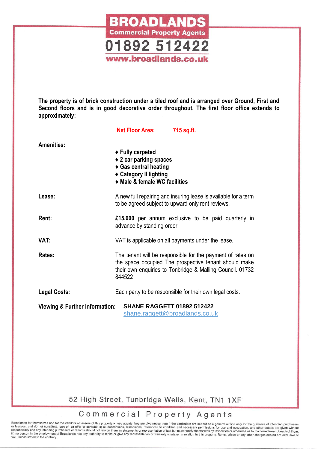

**The property is of brick construction under a tiled roof and is arranged over Ground, First and Second floors and is in good decorative order throughout. The first floor office extends to approximately:**

|                                                                                                                  | <b>Net Floor Area:</b>                                                                                                         | 715 sq.ft.                                                                                                                                                                       |
|------------------------------------------------------------------------------------------------------------------|--------------------------------------------------------------------------------------------------------------------------------|----------------------------------------------------------------------------------------------------------------------------------------------------------------------------------|
| <b>Amenities:</b>                                                                                                | ◆ Fully carpeted<br>◆ 2 car parking spaces<br>◆ Gas central heating<br>◆ Category II lighting<br>• Male & female WC facilities |                                                                                                                                                                                  |
| Lease:                                                                                                           | A new full repairing and insuring lease is available for a term<br>to be agreed subject to upward only rent reviews.           |                                                                                                                                                                                  |
| Rent:                                                                                                            | advance by standing order.                                                                                                     | £15,000 per annum exclusive to be paid quarterly in                                                                                                                              |
| VAT:                                                                                                             |                                                                                                                                | VAT is applicable on all payments under the lease.                                                                                                                               |
| Rates:                                                                                                           | 844522                                                                                                                         | The tenant will be responsible for the payment of rates on<br>the space occupied The prospective tenant should make<br>their own enquiries to Tonbridge & Malling Council. 01732 |
| <b>Legal Costs:</b>                                                                                              |                                                                                                                                | Each party to be responsible for their own legal costs.                                                                                                                          |
| <b>Viewing &amp; Further Information:</b><br><b>SHANE RAGGETT 01892 512422</b><br>shane.raggett@broadlands.co.uk |                                                                                                                                |                                                                                                                                                                                  |

52 High Street, Tunbridge Wells, Kent, TN1 1XF

## Commercial Property Agents

Broadlands for themselves and for the vendors or lessors of this property whose agents they are give notice that: i) the particulars are set out as a general outline only for the guidance of intending purchasers<br>or lessees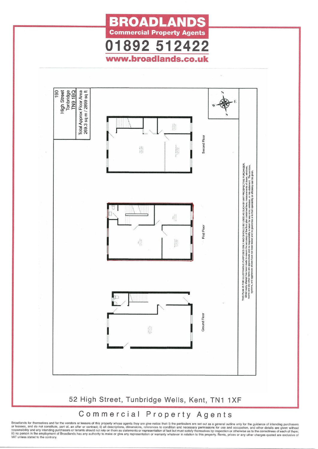



Broadlands for themselves and for the vendors or lessors of this property whose agents they are give notice that: i) the particulars are set out as a general outline only for the guidance of intending purchasers<br>or lessees